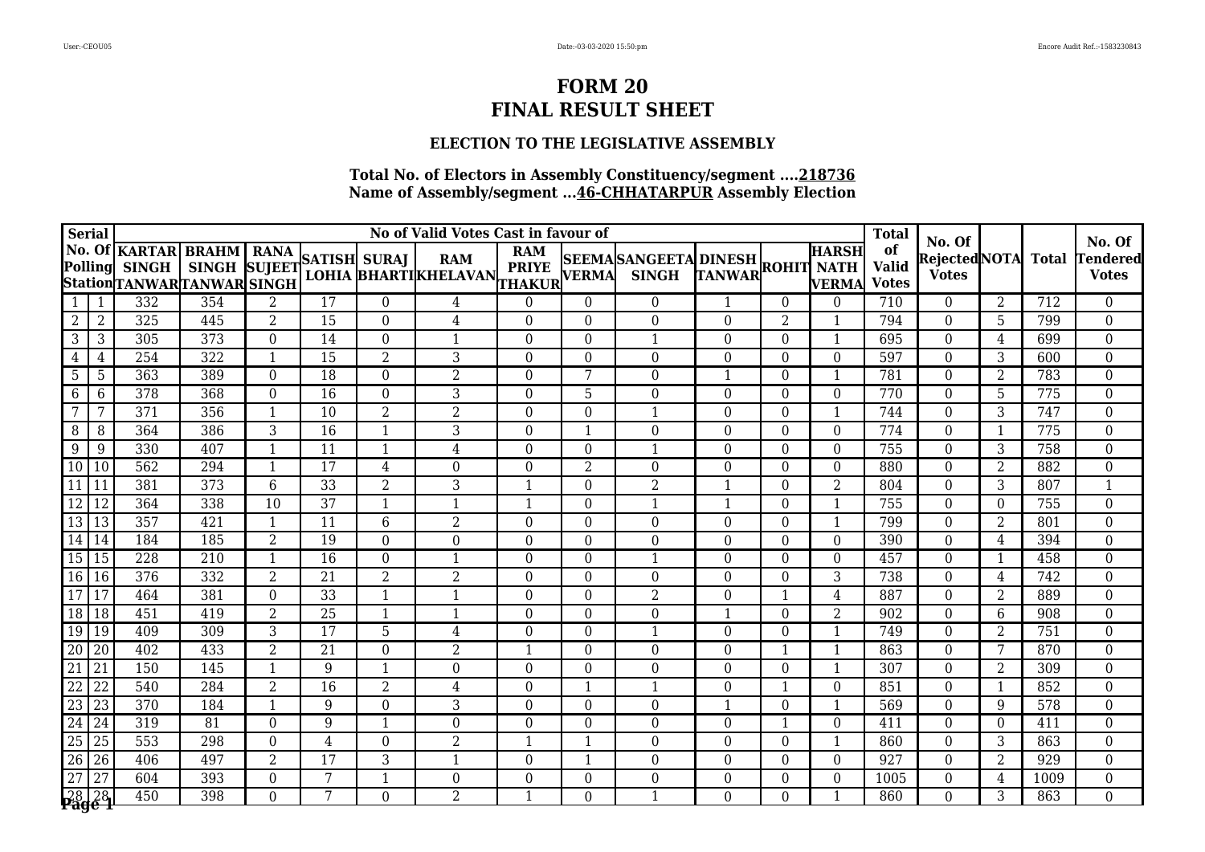### **ELECTION TO THE LEGISLATIVE ASSEMBLY**

| <b>Serial</b>                                                                                                             |                 |                                                                   |                                                  |                  |                 | No of Valid Votes Cast in favour of |                                           |                                            |                  |                                 | <b>Total</b>     |                |                              |                                    |                                        |                |              |                                           |
|---------------------------------------------------------------------------------------------------------------------------|-----------------|-------------------------------------------------------------------|--------------------------------------------------|------------------|-----------------|-------------------------------------|-------------------------------------------|--------------------------------------------|------------------|---------------------------------|------------------|----------------|------------------------------|------------------------------------|----------------------------------------|----------------|--------------|-------------------------------------------|
| <b>Polling</b>                                                                                                            |                 | <b>No. Of KARTAR</b><br><b>SINGH</b><br>StationTANWARTANWAR SINGH | <b>BRAHM</b>   RANA<br>SINGH SUJEET SATISH SURAJ |                  |                 |                                     | <b>RAM</b><br><b>LOHIA BHARTIKHELAVAN</b> | <b>RAM</b><br><b>PRIYE</b><br>THAKUR VERMA |                  | SEEMASANGEETA DINESH ROHIT NATH |                  |                | <b>HARSH</b><br><b>VERMA</b> | of<br><b>Valid</b><br><b>Votes</b> | No. Of<br>RejectedNOTA<br><b>Votes</b> |                | <b>Total</b> | No. Of<br><b>Tendered</b><br><b>Votes</b> |
| 1                                                                                                                         |                 | 332                                                               | 354                                              | 2                | $\overline{17}$ | $\theta$                            | 4                                         | $\Omega$                                   | $\theta$         | $\theta$                        |                  | $\Omega$       | $\Omega$                     | 710                                | $\theta$                               | 2              | 712          | $\overline{0}$                            |
| $\overline{2}$                                                                                                            | $\overline{2}$  | 325                                                               | 445                                              | $\overline{2}$   | $\overline{15}$ | $\boldsymbol{0}$                    | $\overline{4}$                            | $\boldsymbol{0}$                           | $\overline{0}$   | $\overline{0}$                  | 0                | $\overline{2}$ | $\mathbf{1}$                 | 794                                | $\overline{0}$                         | 5              | 799          | $\overline{0}$                            |
| 3                                                                                                                         | 3               | 305                                                               | 373                                              | $\boldsymbol{0}$ | 14              | $\overline{0}$                      | 1                                         | $\overline{0}$                             | $\overline{0}$   | 1                               | $\Omega$         | $\Omega$       | $\mathbf{1}$                 | 695                                | $\Omega$                               | 4              | 699          | $\boldsymbol{0}$                          |
| 4                                                                                                                         | 4               | 254                                                               | 322                                              | $\mathbf{1}$     | 15              | 2                                   | 3                                         | $\overline{0}$                             | $\overline{0}$   | $\theta$                        | $\Omega$         | $\Omega$       | $\Omega$                     | 597                                | $\Omega$                               | 3              | 600          | $\boldsymbol{0}$                          |
| 5                                                                                                                         | 5               | 363                                                               | 389                                              | $\boldsymbol{0}$ | $\overline{18}$ | $\boldsymbol{0}$                    | $\overline{2}$                            | $\boldsymbol{0}$                           | $\overline{7}$   | $\overline{0}$                  |                  | $\Omega$       | $\mathbf{1}$                 | 781                                | $\overline{0}$                         | $\overline{2}$ | 783          | $\overline{0}$                            |
| 6                                                                                                                         | $6\phantom{1}6$ | 378                                                               | 368                                              | $\boldsymbol{0}$ | 16              | $\boldsymbol{0}$                    | 3                                         | $\boldsymbol{0}$                           | 5                | $\overline{0}$                  | $\overline{0}$   | $\Omega$       | $\overline{0}$               | 770                                | $\Omega$                               | 5              | 775          | $\boldsymbol{0}$                          |
| 7                                                                                                                         | 7               | $\overline{371}$                                                  | 356                                              | $\mathbf{1}$     | 10              | $\overline{2}$                      | $\overline{2}$                            | $\boldsymbol{0}$                           | $\overline{0}$   | 1                               | $\Omega$         | $\Omega$       | -1                           | 744                                | $\Omega$                               | 3              | 747          | $\boldsymbol{0}$                          |
| 8                                                                                                                         | 8               | 364                                                               | 386                                              | 3                | 16              | $\mathbf{1}$                        | 3                                         | $\boldsymbol{0}$                           | 1                | $\overline{0}$                  | $\boldsymbol{0}$ | $\Omega$       | $\Omega$                     | 774                                | $\overline{0}$                         | 1              | 775          | $\boldsymbol{0}$                          |
| 9                                                                                                                         | 9               | 330                                                               | 407                                              | $\overline{1}$   | 11              | $\mathbf{1}$                        | $\overline{4}$                            | $\boldsymbol{0}$                           | $\overline{0}$   | 1                               | $\Omega$         | $\Omega$       | $\overline{0}$               | 755                                | $\overline{0}$                         | 3              | 758          | $\boldsymbol{0}$                          |
| $\overline{10}$                                                                                                           | 10              | 562                                                               | 294                                              | $\mathbf{1}$     | $\overline{17}$ | $\overline{4}$                      | $\overline{0}$                            | $\boldsymbol{0}$                           | $\overline{2}$   | $\theta$                        | $\Omega$         | $\Omega$       | $\Omega$                     | 880                                | $\theta$                               | $\overline{2}$ | 882          | $\boldsymbol{0}$                          |
| $\overline{11}$                                                                                                           | 11              | 381                                                               | 373                                              | $6\phantom{1}6$  | $\overline{33}$ | $\overline{2}$                      | 3                                         | 1                                          | $\theta$         | 2                               | -1               | $\Omega$       | 2                            | 804                                | $\theta$                               | $\overline{3}$ | 807          | $\mathbf{1}$                              |
| $\overline{12}$                                                                                                           | 12              | 364                                                               | 338                                              | 10               | 37              | $\mathbf{1}$                        | $\mathbf{1}$                              | $\mathbf{1}$                               | $\boldsymbol{0}$ |                                 |                  | $\Omega$       |                              | 755                                | $\Omega$                               | $\theta$       | 755          | $\overline{0}$                            |
| $\overline{13}$                                                                                                           | 13              | 357                                                               | 421                                              | 1                | 11              | $6\,$                               | $\overline{2}$                            | $\boldsymbol{0}$                           | $\bf{0}$         | $\overline{0}$                  | $\Omega$         | $\Omega$       | -1                           | 799                                | $\Omega$                               | 2              | 801          | $\boldsymbol{0}$                          |
| $\overline{14}$                                                                                                           | 14              | 184                                                               | 185                                              | $\overline{2}$   | 19              | $\boldsymbol{0}$                    | $\boldsymbol{0}$                          | $\boldsymbol{0}$                           | $\overline{0}$   | $\theta$                        | $\Omega$         | $\Omega$       | $\Omega$                     | 390                                | $\Omega$                               | 4              | 394          | $\boldsymbol{0}$                          |
| 15 15                                                                                                                     |                 | $\overline{228}$                                                  | $\overline{210}$                                 | $\mathbf{1}$     | $\overline{16}$ | $\boldsymbol{0}$                    | $\mathbf{1}$                              | $\boldsymbol{0}$                           | $\overline{0}$   | $\mathbf 1$                     | $\overline{0}$   | $\Omega$       | $\overline{0}$               | 457                                | $\overline{0}$                         | 1              | 458          | $\overline{0}$                            |
| $\boxed{16}$ 16                                                                                                           |                 | 376                                                               | 332                                              | $\overline{2}$   | 21              | $\overline{2}$                      | $\overline{2}$                            | $\boldsymbol{0}$                           | $\overline{0}$   | $\Omega$                        | $\Omega$         | $\Omega$       | 3                            | 738                                | $\Omega$                               | 4              | 742          | $\boldsymbol{0}$                          |
| $\overline{17}$                                                                                                           | 17              | 464                                                               | 381                                              | $\boldsymbol{0}$ | 33              | $\mathbf{1}$                        | $\mathbf{1}$                              | $\boldsymbol{0}$                           | $\overline{0}$   | $\overline{2}$                  | $\Omega$         | -1             | 4                            | 887                                | $\Omega$                               | 2              | 889          | $\boldsymbol{0}$                          |
| $\overline{18}$                                                                                                           | 18              | 451                                                               | 419                                              | $\overline{2}$   | 25              | $\mathbf{1}$                        | 1                                         | $\boldsymbol{0}$                           | $\overline{0}$   | $\overline{0}$                  | $\mathbf{1}$     | $\Omega$       | $\overline{2}$               | 902                                | $\theta$                               | 6              | 908          | $\boldsymbol{0}$                          |
| $\frac{19}{20}$                                                                                                           | 19              | 409                                                               | 309                                              | $\mathbf{3}$     | 17              | 5                                   | $\overline{4}$                            | $\boldsymbol{0}$                           | $\boldsymbol{0}$ | 1                               | $\overline{0}$   | $\theta$       |                              | 749                                | $\overline{0}$                         | $\overline{2}$ | 751          | $\boldsymbol{0}$                          |
|                                                                                                                           | $\overline{20}$ | 402                                                               | 433                                              | $\overline{2}$   | 21              | $\boldsymbol{0}$                    | $\overline{2}$                            | $\mathbf{1}$                               | $\overline{0}$   | $\theta$                        | $\theta$         | 1              | 1                            | 863                                | $\theta$                               | 7              | 870          | $\overline{0}$                            |
|                                                                                                                           | $\sqrt{21}$     | 150                                                               | 145                                              | $\overline{1}$   | 9               | $\mathbf{1}$                        | $\overline{0}$                            | $\boldsymbol{0}$                           | $\theta$         | $\theta$                        | $\Omega$         | $\Omega$       | $\mathbf 1$                  | 307                                | $\Omega$                               | 2              | 309          | $\overline{0}$                            |
| $\begin{array}{r} 21 \\ \hline 22 \\ \hline 23 \\ \hline 24 \\ \hline 25 \\ \hline 26 \\ \hline 27 \\ \hline \end{array}$ | 22              | 540                                                               | 284                                              | $\overline{2}$   | $\overline{16}$ | $\overline{2}$                      | $\overline{4}$                            | $\boldsymbol{0}$                           | 1                | 1                               | $\boldsymbol{0}$ | $\mathbf 1$    | $\overline{0}$               | 851                                | $\overline{0}$                         | 1              | 852          | $\overline{0}$                            |
|                                                                                                                           | 23              | 370                                                               | 184                                              | $\mathbf{1}$     | 9               | $\boldsymbol{0}$                    | 3                                         | $\boldsymbol{0}$                           | $\overline{0}$   | $\theta$                        | $\mathbf{1}$     | $\Omega$       | $\mathbf{1}$                 | 569                                | $\Omega$                               | 9              | 578          | $\boldsymbol{0}$                          |
|                                                                                                                           | 24              | 319                                                               | 81                                               | $\overline{0}$   | 9               | 1                                   | $\overline{0}$                            | $\boldsymbol{0}$                           | $\theta$         | $\Omega$                        | $\Omega$         | -1             | $\Omega$                     | 411                                | $\Omega$                               | $\Omega$       | 411          | $\boldsymbol{0}$                          |
|                                                                                                                           | $\overline{25}$ | 553                                                               | 298                                              | $\boldsymbol{0}$ | $\overline{4}$  | $\boldsymbol{0}$                    | $\overline{2}$                            | $\mathbf{1}$                               | $\mathbf{1}$     | $\overline{0}$                  | $\overline{0}$   | $\Omega$       | $\mathbf{1}$                 | 860                                | $\overline{0}$                         | 3              | 863          | $\overline{0}$                            |
|                                                                                                                           | 26              | 406                                                               | 497                                              | $\overline{2}$   | 17              | 3                                   | 1                                         | $\boldsymbol{0}$                           | 1                | $\theta$                        | $\Omega$         | $\Omega$       | $\Omega$                     | 927                                | $\Omega$                               | $\overline{2}$ | 929          | $\boldsymbol{0}$                          |
|                                                                                                                           | 27              | 604                                                               | 393                                              | $\boldsymbol{0}$ | 7               | $\mathbf 1$                         | $\boldsymbol{0}$                          | $\boldsymbol{0}$                           | $\overline{0}$   | $\overline{0}$                  | $\Omega$         | $\Omega$       | $\Omega$                     | 1005                               | $\Omega$                               | 4              | 1009         | $\boldsymbol{0}$                          |
| $\frac{28}{26}$ $\frac{28}{6}$                                                                                            |                 | 450                                                               | 398                                              | $\overline{0}$   | 7               | $\overline{0}$                      | $\overline{2}$                            | $\mathbf{1}$                               | $\Omega$         | $\mathbf 1$                     | $\Omega$         | $\Omega$       | $\mathbf 1$                  | 860                                | $\theta$                               | 3              | 863          | $\overline{0}$                            |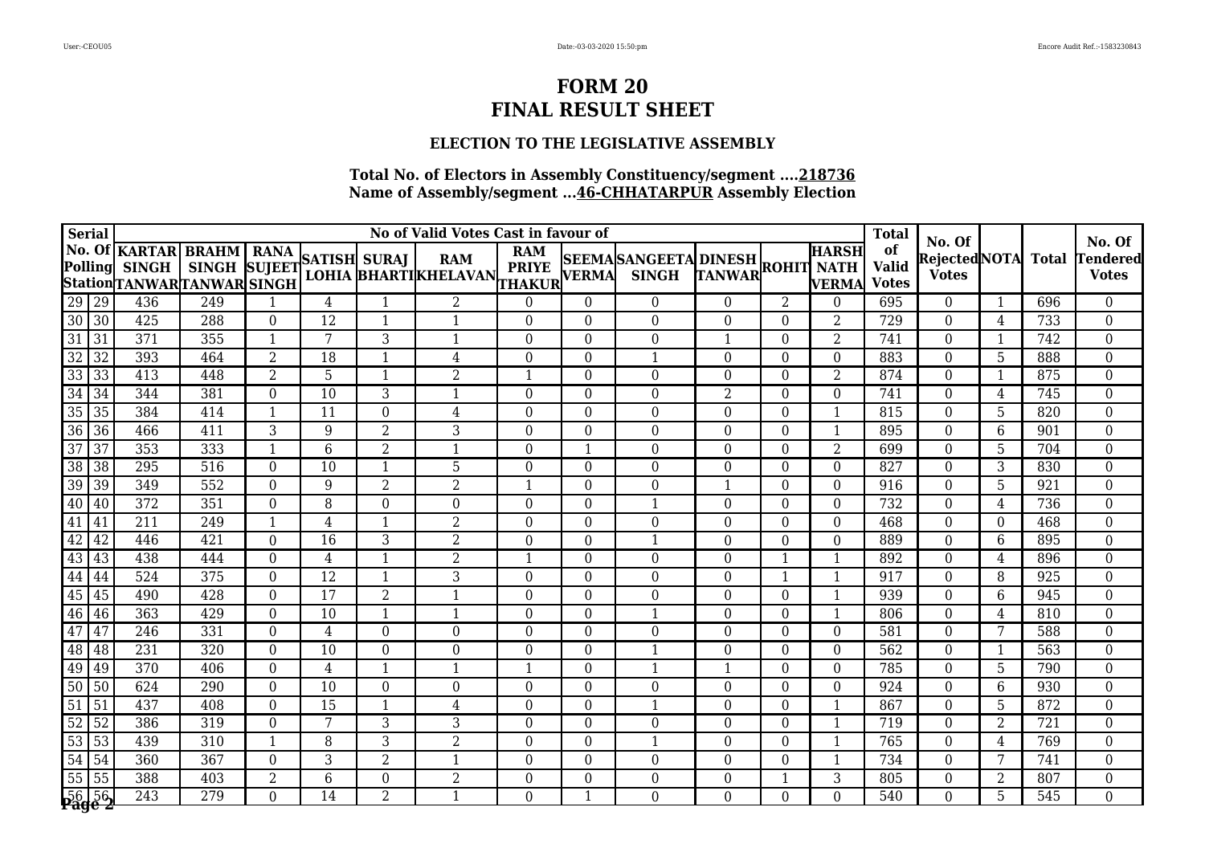### **ELECTION TO THE LEGISLATIVE ASSEMBLY**

| <b>Serial</b>                                                                                          |                 |                                                            |                                                |                  |                 |                  | <b>Total</b>                              |                                            |                  |                                             |                   |          |                       |                                    |                                               |                |              |                                           |
|--------------------------------------------------------------------------------------------------------|-----------------|------------------------------------------------------------|------------------------------------------------|------------------|-----------------|------------------|-------------------------------------------|--------------------------------------------|------------------|---------------------------------------------|-------------------|----------|-----------------------|------------------------------------|-----------------------------------------------|----------------|--------------|-------------------------------------------|
|                                                                                                        | <b>Polling</b>  | No. Of KARTAR<br><b>SINGH</b><br>StationTANWARTANWAR SINGH | <b>BRAHM</b> RANA<br>SINGH SUJEET SATISH SURAJ |                  |                 |                  | <b>RAM</b><br><b>LOHIA BHARTIKHELAVAN</b> | <b>RAM</b><br><b>PRIYE</b><br>THAKUR VERMA |                  | <b>SEEMASANGEETA DINESH</b><br><b>SINGH</b> | TANWAR ROHIT NATH |          | <b>HARSH</b><br>VERMA | of<br><b>Valid</b><br><b>Votes</b> | No. Of<br><b>RejectedNOTA</b><br><b>Votes</b> |                | <b>Total</b> | No. Of<br><b>Tendered</b><br><b>Votes</b> |
|                                                                                                        |                 | 436                                                        | 249                                            |                  | $\overline{4}$  | $\mathbf 1$      | $\overline{2}$                            | $\boldsymbol{0}$                           | $\overline{0}$   | $\overline{0}$                              | $\Omega$          | 2        | $\Omega$              | 695                                | $\theta$                                      | $\mathbf{1}$   | 696          | $\boldsymbol{0}$                          |
| 29 29<br>30 30                                                                                         |                 | 425                                                        | 288                                            | $\boldsymbol{0}$ | 12              | $\mathbf{1}$     | $\mathbf{1}$                              | $\boldsymbol{0}$                           | $\overline{0}$   | $\overline{0}$                              | $\overline{0}$    | $\theta$ | $\overline{2}$        | 729                                | $\overline{0}$                                | 4              | 733          | $\boldsymbol{0}$                          |
| $\overline{31}$                                                                                        | 31              | 371                                                        | 355                                            | 1                | 7               | 3                | 1                                         | $\boldsymbol{0}$                           | $\boldsymbol{0}$ | $\theta$                                    |                   | $\Omega$ | 2                     | 741                                | $\boldsymbol{0}$                              | $\mathbf 1$    | 742          | $\overline{0}$                            |
|                                                                                                        | $\overline{32}$ | 393                                                        | 464                                            | $\overline{2}$   | $\overline{18}$ | $\mathbf{1}$     | $\overline{4}$                            | $\overline{0}$                             | $\overline{0}$   | 1                                           | $\Omega$          | $\Omega$ | $\overline{0}$        | 883                                | $\overline{0}$                                | $\overline{5}$ | 888          | $\overline{0}$                            |
|                                                                                                        | 33              | 413                                                        | 448                                            | $\overline{2}$   | 5               | $\mathbf{1}$     | $\overline{2}$                            | $\mathbf{1}$                               | $\overline{0}$   | $\overline{0}$                              | $\overline{0}$    | $\Omega$ | $\overline{2}$        | 874                                | $\overline{0}$                                | $\mathbf{1}$   | 875          | $\boldsymbol{0}$                          |
| $\begin{array}{r} 32 \\ \hline 33 \\ \hline 34 \\ \hline 35 \end{array}$                               | 34              | 344                                                        | 381                                            | $\boldsymbol{0}$ | 10              | 3                | 1                                         | $\boldsymbol{0}$                           | $\boldsymbol{0}$ | $\overline{0}$                              | 2                 | $\Omega$ | $\Omega$              | 741                                | $\boldsymbol{0}$                              | 4              | 745          | $\boldsymbol{0}$                          |
|                                                                                                        | $\overline{35}$ | 384                                                        | 414                                            | 1                | 11              | $\boldsymbol{0}$ | 4                                         | $\boldsymbol{0}$                           | $\overline{0}$   | $\overline{0}$                              | 0                 | $\Omega$ | -1                    | 815                                | $\boldsymbol{0}$                              | 5              | 820          | $\boldsymbol{0}$                          |
|                                                                                                        | $\sqrt{36}$     | 466                                                        | 411                                            | 3                | 9               | $\overline{2}$   | 3                                         | $\boldsymbol{0}$                           | $\overline{0}$   | $\overline{0}$                              | $\overline{0}$    | $\Omega$ | $\mathbf 1$           | 895                                | $\overline{0}$                                | 6              | 901          | $\boldsymbol{0}$                          |
| $\frac{36}{37}$                                                                                        | $\overline{37}$ | 353                                                        | 333                                            | $\mathbf{1}$     | $6\phantom{1}6$ | $\overline{2}$   | 1                                         | $\boldsymbol{0}$                           | $\mathbf{1}$     | $\Omega$                                    | $\Omega$          | $\Omega$ | 2                     | 699                                | $\Omega$                                      | 5              | 704          | $\boldsymbol{0}$                          |
|                                                                                                        | 38              | 295                                                        | 516                                            | $\mathbf{0}$     | 10              | $\mathbf{1}$     | 5                                         | $\boldsymbol{0}$                           | $\overline{0}$   | $\theta$                                    | $\Omega$          | $\Omega$ | $\Omega$              | 827                                | $\boldsymbol{0}$                              | 3              | 830          | $\boldsymbol{0}$                          |
| $\overline{39}$                                                                                        | $ 39\rangle$    | 349                                                        | 552                                            | $\boldsymbol{0}$ | 9               | $\overline{2}$   | $\overline{2}$                            | $\mathbf{1}$                               | $\overline{0}$   | $\theta$                                    | $\mathbf{1}$      | $\Omega$ | $\Omega$              | 916                                | $\Omega$                                      | 5              | 921          | $\overline{0}$                            |
| $\boxed{40}$                                                                                           | $\sqrt{40}$     | 372                                                        | 351                                            | $\boldsymbol{0}$ | 8               | 0                | 0                                         | $\boldsymbol{0}$                           | $\overline{0}$   | 1                                           | $\Omega$          | 0        | $\Omega$              | 732                                | $\Omega$                                      | 4              | 736          | $\overline{0}$                            |
| $\overline{41}$                                                                                        | 41              | 211                                                        | 249                                            | 1                | 4               | $\mathbf{1}$     | $\overline{2}$                            | $\boldsymbol{0}$                           | $\overline{0}$   | $\theta$                                    | $\Omega$          | $\Omega$ | $\Omega$              | 468                                | $\Omega$                                      | $\theta$       | 468          | $\boldsymbol{0}$                          |
| $\begin{array}{ c c c }\hline 42&42\\ \hline 43&43\\ \hline 44&44\\ \hline 45&45\\ \hline \end{array}$ |                 | 446                                                        | 421                                            | $\boldsymbol{0}$ | 16              | 3                | $\overline{2}$                            | $\mathbf 0$                                | $\overline{0}$   | 1                                           | $\Omega$          | $\Omega$ | $\Omega$              | 889                                | $\overline{0}$                                | 6              | 895          | $\boldsymbol{0}$                          |
|                                                                                                        |                 | 438                                                        | 444                                            | $\overline{0}$   | $\overline{4}$  | $\mathbf{1}$     | $\overline{2}$                            | 1                                          | $\theta$         | $\Omega$                                    | $\Omega$          | 1        | $\mathbf 1$           | 892                                | $\Omega$                                      | 4              | 896          | $\boldsymbol{0}$                          |
|                                                                                                        |                 | $\overline{524}$                                           | 375                                            | $\boldsymbol{0}$ | $\overline{12}$ | $\mathbf{1}$     | 3                                         | $\boldsymbol{0}$                           | $\boldsymbol{0}$ | $\boldsymbol{0}$                            | $\boldsymbol{0}$  | -1       | $\mathbf 1$           | 917                                | $\boldsymbol{0}$                              | 8              | 925          | $\overline{0}$                            |
|                                                                                                        |                 | 490                                                        | 428                                            | $\boldsymbol{0}$ | 17              | $\overline{2}$   | $\mathbf{1}$                              | $\boldsymbol{0}$                           | $\overline{0}$   | $\theta$                                    | $\Omega$          | $\Omega$ | -1                    | 939                                | $\Omega$                                      | 6              | 945          | $\boldsymbol{0}$                          |
| 46                                                                                                     | 46              | 363                                                        | 429                                            | $\boldsymbol{0}$ | 10              | $\mathbf{1}$     | 1                                         | $\overline{0}$                             | $\overline{0}$   | 1                                           | $\Omega$          | $\Omega$ | $\mathbf 1$           | 806                                | $\theta$                                      | 4              | 810          | $\boldsymbol{0}$                          |
| $\frac{47}{48}$                                                                                        | l 47            | $\overline{246}$                                           | 331                                            | $\boldsymbol{0}$ | 4               | $\boldsymbol{0}$ | $\overline{0}$                            | $\boldsymbol{0}$                           | $\overline{0}$   | $\overline{0}$                              | $\overline{0}$    | $\theta$ | $\overline{0}$        | 581                                | $\boldsymbol{0}$                              | 7              | 588          | $\boldsymbol{0}$                          |
|                                                                                                        | 48              | 231                                                        | 320                                            | $\mathbf{0}$     | 10              | $\boldsymbol{0}$ | $\overline{0}$                            | $\boldsymbol{0}$                           | $\boldsymbol{0}$ | 1                                           | $\Omega$          | $\Omega$ | $\overline{0}$        | 562                                | $\overline{0}$                                | 1              | 563          | $\overline{0}$                            |
|                                                                                                        | 49              | 370                                                        | 406                                            | $\boldsymbol{0}$ | $\overline{4}$  | $\mathbf{1}$     | $\mathbf{1}$                              | 1                                          | $\overline{0}$   | -1                                          | -1                | $\Omega$ | $\Omega$              | 785                                | $\theta$                                      | 5              | 790          | $\overline{0}$                            |
|                                                                                                        | $\overline{50}$ | 624                                                        | 290                                            | $\overline{0}$   | 10              | $\boldsymbol{0}$ | $\boldsymbol{0}$                          | $\boldsymbol{0}$                           | $\overline{0}$   | $\Omega$                                    | $\Omega$          | $\Omega$ | $\Omega$              | 924                                | $\theta$                                      | 6              | 930          | $\boldsymbol{0}$                          |
| $\begin{array}{r}\n\overline{49} \\ \overline{50} \\ \overline{51}\n\end{array}$                       | $\vert$ 51      | 437                                                        | 408                                            | $\boldsymbol{0}$ | 15              | $\mathbf{1}$     | $\overline{4}$                            | $\boldsymbol{0}$                           | $\boldsymbol{0}$ | $\mathbf{1}$                                | $\overline{0}$    | $\Omega$ | $\mathbf 1$           | 867                                | $\boldsymbol{0}$                              | 5              | 872          | $\boldsymbol{0}$                          |
| $\frac{52}{53}$ $\frac{54}{55}$                                                                        | 52              | 386                                                        | 319                                            | $\overline{0}$   | 7               | 3                | 3                                         | $\boldsymbol{0}$                           | $\overline{0}$   | $\Omega$                                    | $\Omega$          | $\Omega$ |                       | 719                                | $\Omega$                                      | 2              | 721          | $\boldsymbol{0}$                          |
|                                                                                                        | $\overline{53}$ | 439                                                        | 310                                            | $\overline{1}$   | 8               | 3                | $\overline{2}$                            | $\boldsymbol{0}$                           | $\overline{0}$   | 1                                           | $\overline{0}$    | $\Omega$ | 1                     | 765                                | $\Omega$                                      | 4              | 769          | $\boldsymbol{0}$                          |
|                                                                                                        | $\sqrt{54}$     | 360                                                        | 367                                            | $\boldsymbol{0}$ | 3               | $\overline{2}$   | 1                                         | $\boldsymbol{0}$                           | $\boldsymbol{0}$ | $\theta$                                    | $\Omega$          | $\Omega$ | $\mathbf 1$           | 734                                | $\boldsymbol{0}$                              | 7              | 741          | $\boldsymbol{0}$                          |
|                                                                                                        | 55              | 388                                                        | 403                                            | $\overline{2}$   | 6               | 0                | $\overline{2}$                            | $\boldsymbol{0}$                           | $\overline{0}$   | $\overline{0}$                              | $\Omega$          |          | 3                     | 805                                | $\Omega$                                      | 2              | 807          | $\boldsymbol{0}$                          |
|                                                                                                        | 56 56           | 243                                                        | 279                                            | $\overline{0}$   | 14              | $\overline{2}$   | $\mathbf{1}$                              | $\overline{0}$                             | $\mathbf{1}$     | $\Omega$                                    | $\Omega$          | $\Omega$ | $\Omega$              | 540                                | $\theta$                                      | 5              | 545          | $\overline{0}$                            |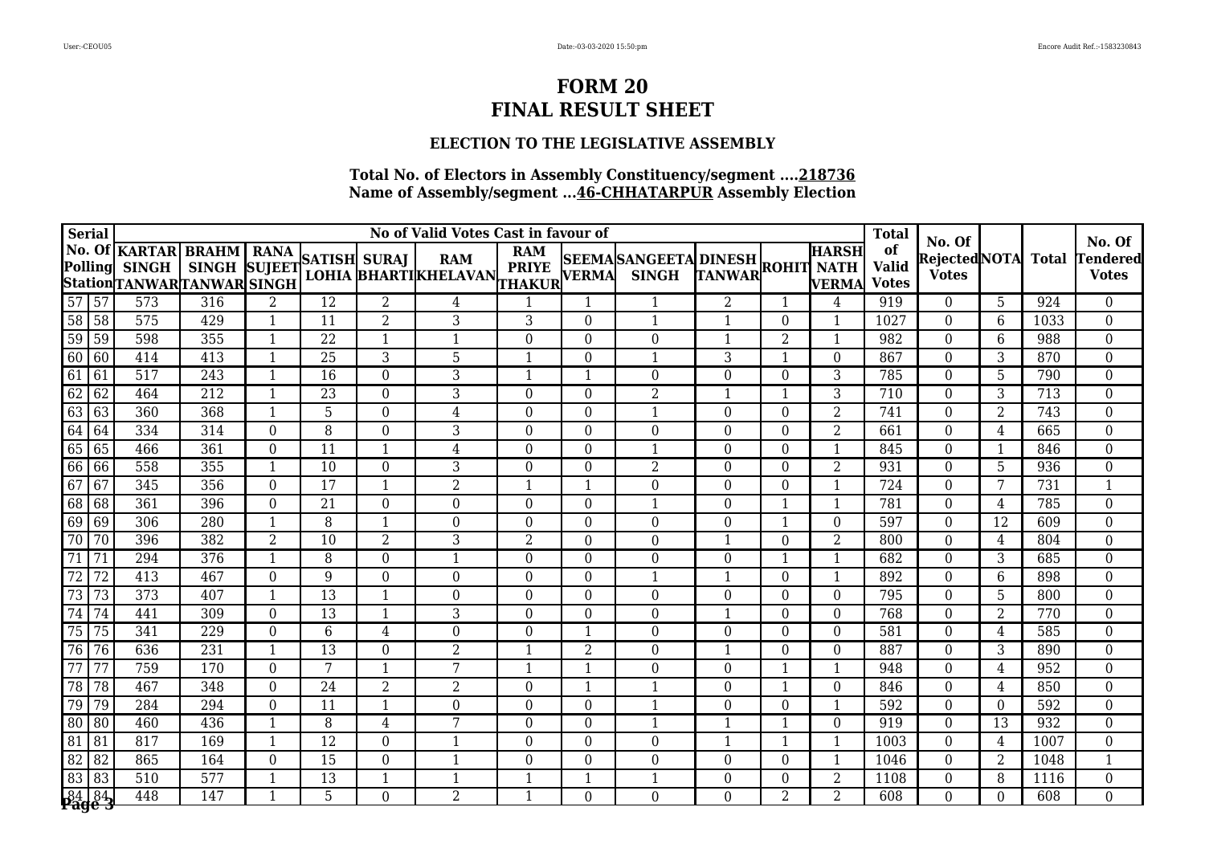### **ELECTION TO THE LEGISLATIVE ASSEMBLY**

| <b>Serial</b>                                                                                                      |                 |                                                                  |                                                  |                         |                 | No of Valid Votes Cast in favour of |                                           |                                            |                  |                                 | <b>Total</b>   |                |                              |                                    |                                               |                |              |                                   |
|--------------------------------------------------------------------------------------------------------------------|-----------------|------------------------------------------------------------------|--------------------------------------------------|-------------------------|-----------------|-------------------------------------|-------------------------------------------|--------------------------------------------|------------------|---------------------------------|----------------|----------------|------------------------------|------------------------------------|-----------------------------------------------|----------------|--------------|-----------------------------------|
|                                                                                                                    | <b>Polling</b>  | <b>No. Of KARTAR</b><br><b>SINGH</b><br>StationTANWARTANWARSINGH | <b>BRAHM</b>   RANA<br>SINGH SUJEET SATISH SURAJ |                         |                 |                                     | <b>RAM</b><br><b>LOHIA BHARTIKHELAVAN</b> | <b>RAM</b><br><b>PRIYE</b><br>THAKUR VERMA |                  | SEEMASANGEETA DINESH ROHIT NATH |                |                | <b>HARSH</b><br><b>VERMA</b> | of<br><b>Valid</b><br><b>Votes</b> | No. Of<br><b>RejectedNOTA</b><br><b>Votes</b> |                | <b>Total</b> | No. Of<br>endered<br><b>Votes</b> |
| $\boxed{57}$ $\boxed{57}$                                                                                          |                 | 573                                                              | 316                                              | $\overline{2}$          | $\overline{12}$ | $\overline{2}$                      | 4                                         |                                            | 1                |                                 | $\overline{2}$ | $\mathbf 1$    | 4                            | 919                                | $\overline{0}$                                | 5              | 924          | $\boldsymbol{0}$                  |
| $\overline{58}$ 58                                                                                                 |                 | 575                                                              | 429                                              | $\mathbf 1$             | 11              | $\overline{2}$                      | 3                                         | 3                                          | $\boldsymbol{0}$ | $\mathbf{1}$                    | $\mathbf{1}$   | $\Omega$       | -1                           | 1027                               | $\Omega$                                      | 6              | 1033         | $\boldsymbol{0}$                  |
| $\frac{59}{60}$                                                                                                    | $\sqrt{59}$     | 598                                                              | 355                                              | $\mathbf 1$             | 22              | $\mathbf{1}$                        | $\mathbf{1}$                              | $\boldsymbol{0}$                           | $\overline{0}$   | $\overline{0}$                  | $\mathbf{1}$   | $\overline{2}$ | -1                           | 982                                | $\boldsymbol{0}$                              | 6              | 988          | $\overline{0}$                    |
|                                                                                                                    | $\overline{60}$ | 414                                                              | 413                                              | $\mathbf{1}$            | 25              | 3                                   | 5                                         | $\mathbf{1}$                               | $\overline{0}$   | 1                               | 3              | -1             | $\Omega$                     | 867                                | $\Omega$                                      | 3              | 870          | $\boldsymbol{0}$                  |
| 61                                                                                                                 | 61              | 517                                                              | 243                                              | $\overline{\mathbf{1}}$ | 16              | $\boldsymbol{0}$                    | 3                                         | $\mathbf{1}$                               | $\mathbf{1}$     | $\overline{0}$                  | $\overline{0}$ | $\Omega$       | 3                            | 785                                | $\Omega$                                      | 5              | 790          | $\boldsymbol{0}$                  |
| $\frac{62}{63}$                                                                                                    | $\sqrt{62}$     | 464                                                              | 212                                              | $\mathbf{1}$            | $\overline{23}$ | $\boldsymbol{0}$                    | $\overline{3}$                            | $\mathbf 0$                                | $\boldsymbol{0}$ | $\overline{2}$                  |                | -1             | 3                            | 710                                | $\boldsymbol{0}$                              | $\overline{3}$ | 713          | $\boldsymbol{0}$                  |
|                                                                                                                    | 63              | 360                                                              | 368                                              | $\mathbf{1}$            | 5               | $\boldsymbol{0}$                    | $\overline{4}$                            | $\boldsymbol{0}$                           | $\overline{0}$   | 1                               | $\Omega$       | $\Omega$       | $\overline{2}$               | 741                                | $\Omega$                                      | $\overline{2}$ | 743          | $\boldsymbol{0}$                  |
| $\begin{array}{r}\n 64 \overline{)64} \\  \hline\n 65 \overline{)65} \\  \hline\n 66 \overline{)66}\n \end{array}$ |                 | 334                                                              | 314                                              | $\boldsymbol{0}$        | 8               | $\boldsymbol{0}$                    | 3                                         | $\boldsymbol{0}$                           | $\overline{0}$   | $\theta$                        | $\Omega$       | $\Omega$       | 2                            | 661                                | $\Omega$                                      | 4              | 665          | $\boldsymbol{0}$                  |
|                                                                                                                    |                 | 466                                                              | 361                                              | $\boldsymbol{0}$        | 11              | $\mathbf{1}$                        | $\overline{4}$                            | $\boldsymbol{0}$                           | $\overline{0}$   | 1                               | $\Omega$       | $\Omega$       | -1                           | 845                                | $\theta$                                      | 1              | 846          | $\boldsymbol{0}$                  |
|                                                                                                                    |                 | 558                                                              | 355                                              | $\mathbf{1}$            | 10              | $\boldsymbol{0}$                    | 3                                         | $\boldsymbol{0}$                           | $\boldsymbol{0}$ | $\overline{2}$                  | $\theta$       | $\Omega$       | 2                            | 931                                | $\Omega$                                      | 5              | 936          | $\boldsymbol{0}$                  |
| $\overline{67}$                                                                                                    | 67              | 345                                                              | 356                                              | $\overline{0}$          | $\overline{17}$ | $\mathbf{1}$                        | $\overline{2}$                            | $\mathbf{1}$                               | 1                | $\overline{0}$                  | $\Omega$       | $\Omega$       |                              | 724                                | $\Omega$                                      | 7              | 731          | $\mathbf{1}$                      |
| $\overline{68}$                                                                                                    | 68              | 361                                                              | 396                                              | $\overline{0}$          | 21              | $\overline{0}$                      | $\overline{0}$                            | $\overline{0}$                             | $\overline{0}$   | 1                               | $\overline{0}$ | 1              | $\mathbf{1}$                 | 781                                | $\overline{0}$                                | 4              | 785          | $\overline{0}$                    |
| $\frac{69}{70}$                                                                                                    | $\sqrt{69}$     | 306                                                              | 280                                              | 1                       | 8               | $\mathbf{1}$                        | 0                                         | $\boldsymbol{0}$                           | $\overline{0}$   | $\overline{0}$                  | $\Omega$       |                | $\Omega$                     | 597                                | $\Omega$                                      | 12             | 609          | $\boldsymbol{0}$                  |
|                                                                                                                    | 70              | 396                                                              | 382                                              | $\overline{2}$          | 10              | 2                                   | 3                                         | $\overline{2}$                             | $\overline{0}$   | $\theta$                        |                | $\Omega$       | 2                            | 800                                | $\Omega$                                      | 4              | 804          | $\boldsymbol{0}$                  |
| $\overline{71}$                                                                                                    | 71              | 294                                                              | 376                                              | $\overline{1}$          | 8               | $\boldsymbol{0}$                    | $\mathbf{1}$                              | $\boldsymbol{0}$                           | $\overline{0}$   | $\mathbf{0}$                    | $\overline{0}$ | $\mathbf 1$    | $\mathbf 1$                  | 682                                | $\overline{0}$                                | 3              | 685          | $\boldsymbol{0}$                  |
| $\overline{72}$                                                                                                    | $\overline{72}$ | $\overline{413}$                                                 | 467                                              | $\overline{0}$          | 9               | $\boldsymbol{0}$                    | $\boldsymbol{0}$                          | $\boldsymbol{0}$                           | $\overline{0}$   |                                 |                | $\Omega$       |                              | 892                                | $\overline{0}$                                | 6              | 898          | $\boldsymbol{0}$                  |
| $\overline{73}$                                                                                                    | 73              | 373                                                              | 407                                              | $\mathbf 1$             | $\overline{13}$ | $\mathbf{1}$                        | $\boldsymbol{0}$                          | $\boldsymbol{0}$                           | $\boldsymbol{0}$ | $\theta$                        | $\Omega$       | $\Omega$       | $\Omega$                     | 795                                | $\boldsymbol{0}$                              | 5              | 800          | $\boldsymbol{0}$                  |
| $\overline{74}$                                                                                                    | 74              | 441                                                              | 309                                              | $\boldsymbol{0}$        | 13              | $\mathbf{1}$                        | 3                                         | $\boldsymbol{0}$                           | $\overline{0}$   | $\theta$                        | $\mathbf 1$    | $\Omega$       | $\Omega$                     | 768                                | $\Omega$                                      | $\overline{2}$ | 770          | $\boldsymbol{0}$                  |
| $\overline{75}$                                                                                                    | 75              | 341                                                              | 229                                              | $\boldsymbol{0}$        | $6\phantom{1}6$ | $\overline{4}$                      | $\boldsymbol{0}$                          | $\boldsymbol{0}$                           | 1                | $\Omega$                        | $\Omega$       | $\Omega$       | $\Omega$                     | 581                                | $\Omega$                                      | 4              | 585          | $\boldsymbol{0}$                  |
| $\overline{76}$                                                                                                    | 76              | 636                                                              | 231                                              | $\mathbf{1}$            | 13              | $\boldsymbol{0}$                    | $\overline{2}$                            | $\mathbf{1}$                               | $\overline{2}$   | $\overline{0}$                  | $\mathbf 1$    | $\Omega$       | $\Omega$                     | 887                                | $\boldsymbol{0}$                              | 3              | 890          | $\boldsymbol{0}$                  |
| $\overline{77}$                                                                                                    | 77              | 759                                                              | 170                                              | $\overline{0}$          | 7               | $\mathbf{1}$                        | 7                                         | 1                                          | 1                | $\theta$                        | $\Omega$       | -1             | -1                           | 948                                | $\Omega$                                      | 4              | 952          | $\boldsymbol{0}$                  |
| $\overline{78}$                                                                                                    | 78              | 467                                                              | 348                                              | $\overline{0}$          | $\overline{24}$ | $\overline{2}$                      | $\overline{2}$                            | $\overline{0}$                             | $\mathbf{1}$     | $\mathbf{1}$                    | $\Omega$       | 1              | $\Omega$                     | 846                                | $\Omega$                                      | 4              | 850          | $\boldsymbol{0}$                  |
| 79                                                                                                                 | 79              | 284                                                              | 294                                              | $\boldsymbol{0}$        | 11              | $\mathbf{1}$                        | $\boldsymbol{0}$                          | $\boldsymbol{0}$                           | $\boldsymbol{0}$ | 1                               | $\Omega$       | $\theta$       | $\mathbf 1$                  | 592                                | $\Omega$                                      | $\theta$       | 592          | $\boldsymbol{0}$                  |
| $\overline{80}$                                                                                                    | 80              | 460                                                              | 436                                              | $\mathbf{1}$            | 8               | 4                                   | 7                                         | $\boldsymbol{0}$                           | $\overline{0}$   | 1                               |                | -1             | $\Omega$                     | 919                                | $\Omega$                                      | 13             | 932          | $\boldsymbol{0}$                  |
| 81                                                                                                                 | 81              | 817                                                              | 169                                              | $\mathbf{1}$            | 12              | $\boldsymbol{0}$                    | 1                                         | $\overline{0}$                             | $\overline{0}$   | $\overline{0}$                  | $\mathbf{1}$   | 1              | $\mathbf 1$                  | 1003                               | $\overline{0}$                                | 4              | 1007         | $\boldsymbol{0}$                  |
| 82 82<br>83 83                                                                                                     |                 | 865                                                              | 164                                              | $\boldsymbol{0}$        | 15              | $\boldsymbol{0}$                    | $\mathbf{1}$                              | $\boldsymbol{0}$                           | $\boldsymbol{0}$ | $\overline{0}$                  | $\overline{0}$ | $\theta$       | $\mathbf 1$                  | 1046                               | $\Omega$                                      | $\overline{2}$ | 1048         | $\mathbf{1}$                      |
|                                                                                                                    |                 | 510                                                              | 577                                              | $\mathbf{1}$            | 13              | $\mathbf{1}$                        | 1                                         | $\mathbf{1}$                               | $\mathbf{1}$     |                                 | $\overline{0}$ | $\Omega$       | $\overline{2}$               | 1108                               | $\theta$                                      | 8              | 1116         | $\boldsymbol{0}$                  |
|                                                                                                                    | 8484            | 448                                                              | 147                                              | $\mathbf{1}$            | 5               | $\overline{0}$                      | $\overline{2}$                            | $\mathbf{1}$                               | $\overline{0}$   | $\Omega$                        | $\overline{0}$ | $\overline{2}$ | $\overline{2}$               | 608                                | $\theta$                                      | $\Omega$       | 608          | $\overline{0}$                    |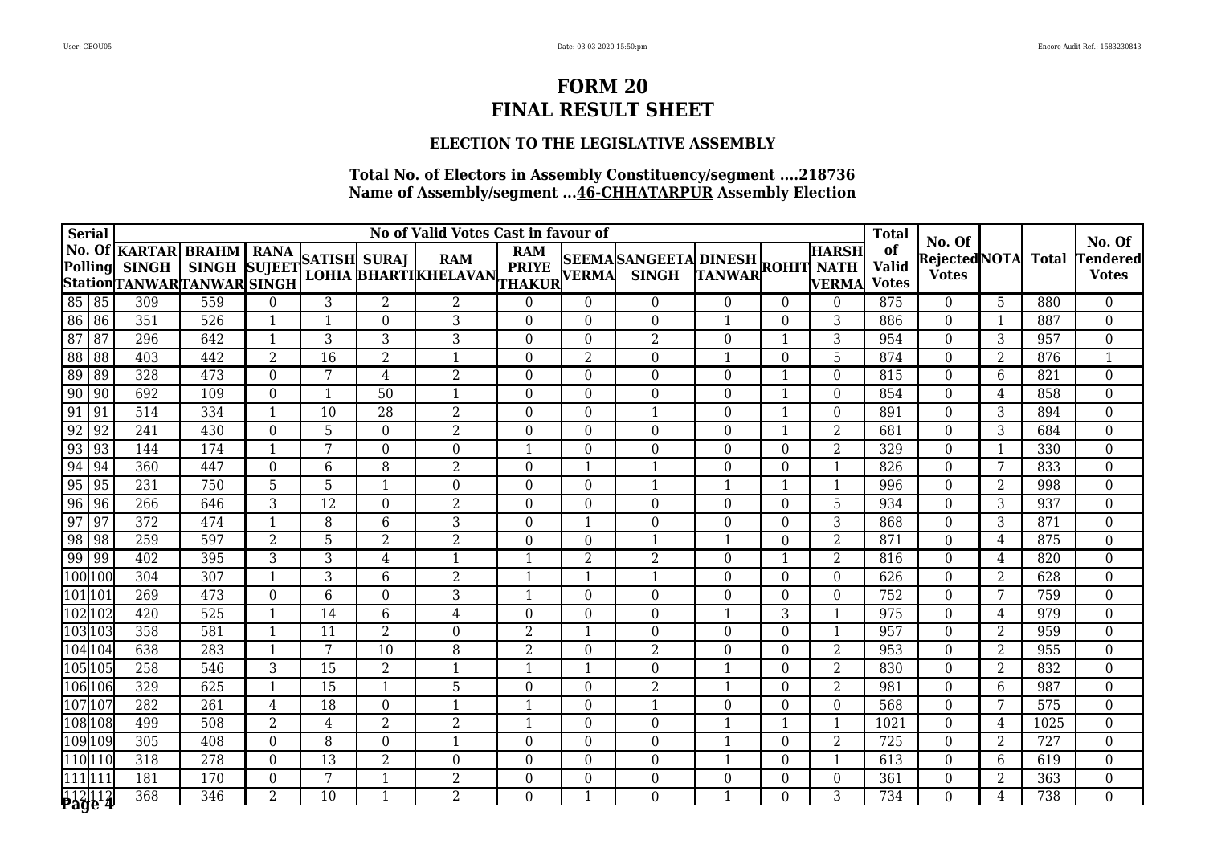### **ELECTION TO THE LEGISLATIVE ASSEMBLY**

|                 | <b>Serial</b>                   |                                                                  |                           |                         |                 |                  | No of Valid Votes Cast in favour of       |                                            |                  |                                            |                  |                  |                              | <b>Total</b>                       |                                               |                         |              | No. Of                          |
|-----------------|---------------------------------|------------------------------------------------------------------|---------------------------|-------------------------|-----------------|------------------|-------------------------------------------|--------------------------------------------|------------------|--------------------------------------------|------------------|------------------|------------------------------|------------------------------------|-----------------------------------------------|-------------------------|--------------|---------------------------------|
|                 | <b>Polling</b>                  | No. Of KARTAR BRAHM<br><b>SINGH</b><br>StationTANWARTANWAR SINGH | SINGH SUJEET SATISH SURAJ |                         |                 |                  | <b>RAM</b><br><b>LOHIA BHARTIKHELAVAN</b> | <b>RAM</b><br><b>PRIYE</b><br>THAKUR VERMA |                  | SEEMASANGEETA DINESH<br>VERMA SINGH TANWAR |                  |                  | <b>HARSH</b><br><b>VERMA</b> | of<br><b>Valid</b><br><b>Votes</b> | No. Of<br><b>RejectedNOTA</b><br><b>Votes</b> |                         | <b>Total</b> | <b>Tendered</b><br><b>Votes</b> |
|                 | 85 85                           | 309                                                              | 559                       | 0                       | 3               | $\overline{2}$   | $\overline{2}$                            | 0                                          | $\overline{0}$   | $\overline{0}$                             | $\overline{0}$   | $\theta$         | $\boldsymbol{0}$             | 875                                | $\overline{0}$                                | 5                       | 880          | $\overline{0}$                  |
|                 | 86 86                           | 351                                                              | 526                       | $\mathbf{1}$            | $\mathbf 1$     | $\overline{0}$   | 3                                         | $\boldsymbol{0}$                           | $\boldsymbol{0}$ | $\overline{0}$                             |                  | $\Omega$         | 3                            | 886                                | $\mathbf{0}$                                  | -1                      | 887          | $\boldsymbol{0}$                |
| $\overline{87}$ | $\sqrt{87}$                     | 296                                                              | 642                       | $\overline{\mathbf{1}}$ | 3               | 3                | 3                                         | $\boldsymbol{0}$                           | $\boldsymbol{0}$ | $\overline{2}$                             | $\boldsymbol{0}$ |                  | 3                            | 954                                | $\bf{0}$                                      | 3                       | 957          | $\boldsymbol{0}$                |
| $\sqrt{88}$     | $\overline{88}$                 | $\overline{403}$                                                 | 442                       | $\overline{2}$          | $\overline{16}$ | $\overline{2}$   | $\mathbf{1}$                              | $\boldsymbol{0}$                           | $\overline{2}$   | $\overline{0}$                             | $\mathbf{1}$     | $\overline{0}$   | 5                            | 874                                | $\bf{0}$                                      | 2                       | 876          | $\mathbf{1}$                    |
| 89              | 89                              | 328                                                              | 473                       | $\mathbf 0$             | 7               | $\overline{4}$   | $\overline{2}$                            | $\boldsymbol{0}$                           | $\mathbf{0}$     | $\overline{0}$                             | $\boldsymbol{0}$ |                  | $\overline{0}$               | 815                                | $\mathbf{0}$                                  | 6                       | 821          | $\boldsymbol{0}$                |
| $\frac{90}{91}$ | $\sqrt{90}$                     | 692                                                              | 109                       | $\boldsymbol{0}$        | 1               | 50               | $\mathbf{1}$                              | $\boldsymbol{0}$                           | $\boldsymbol{0}$ | $\overline{0}$                             | $\boldsymbol{0}$ |                  | $\theta$                     | 854                                | $\bf{0}$                                      | 4                       | 858          | $\boldsymbol{0}$                |
|                 | 91                              | 514                                                              | 334                       | $\overline{1}$          | 10              | 28               | $\overline{2}$                            | $\boldsymbol{0}$                           | $\overline{0}$   | 1                                          | $\overline{0}$   |                  | $\overline{0}$               | 891                                | $\bf{0}$                                      | 3                       | 894          | $\boldsymbol{0}$                |
| $\overline{92}$ | $\sqrt{92}$                     | 241                                                              | 430                       | $\boldsymbol{0}$        | 5               | $\boldsymbol{0}$ | $\overline{2}$                            | $\boldsymbol{0}$                           | $\boldsymbol{0}$ | $\mathbf{0}$                               | $\boldsymbol{0}$ |                  | $\overline{2}$               | 681                                | $\boldsymbol{0}$                              | 3                       | 684          | $\boldsymbol{0}$                |
| 93              | $\sqrt{93}$                     | 144                                                              | 174                       | $\mathbf{1}$            | 7               | $\overline{0}$   | $\boldsymbol{0}$                          | $\mathbf{1}$                               | $\overline{0}$   | $\overline{0}$                             | $\overline{0}$   | $\Omega$         | $\overline{2}$               | 329                                | $\mathbf{0}$                                  | $\overline{\mathbf{1}}$ | 330          | $\boldsymbol{0}$                |
|                 | $94 \overline{)94}$             | 360                                                              | 447                       | $\boldsymbol{0}$        | 6               | 8                | $\overline{2}$                            | $\boldsymbol{0}$                           | $\mathbf{1}$     |                                            | $\boldsymbol{0}$ | $\Omega$         | $\mathbf{1}$                 | 826                                | $\bf{0}$                                      | 7                       | 833          | $\boldsymbol{0}$                |
| $\overline{95}$ | $\sqrt{95}$                     | 231                                                              | 750                       | 5                       | 5               | $\mathbf{1}$     | $\boldsymbol{0}$                          | $\boldsymbol{0}$                           | $\boldsymbol{0}$ | $\mathbf{1}$                               | $\mathbf 1$      |                  | $\mathbf{1}$                 | 996                                | $\mathbf{0}$                                  | $\overline{2}$          | 998          | $\boldsymbol{0}$                |
|                 | $96 \overline{)96}$             | 266                                                              | 646                       | 3                       | $\overline{12}$ | $\boldsymbol{0}$ | $\overline{2}$                            | $\boldsymbol{0}$                           | $\theta$         | $\Omega$                                   | $\Omega$         | $\Omega$         | 5                            | 934                                | $\theta$                                      | 3                       | 937          | $\boldsymbol{0}$                |
| $\overline{97}$ | $\sqrt{97}$                     | 372                                                              | 474                       | $\overline{1}$          | 8               | $6\phantom{.}6$  | $\overline{3}$                            | $\boldsymbol{0}$                           | $\mathbf 1$      | $\theta$                                   | $\Omega$         | $\theta$         | 3                            | 868                                | $\theta$                                      | 3                       | 871          | $\boldsymbol{0}$                |
|                 | 98 98                           | 259                                                              | 597                       | $\overline{2}$          | 5               | $\,2$            | $\overline{2}$                            | $\boldsymbol{0}$                           | $\mathbf{0}$     |                                            |                  | $\Omega$         | $\overline{2}$               | 871                                | $\mathbf{0}$                                  | 4                       | 875          | $\boldsymbol{0}$                |
|                 | $99 \overline{)99}$             | 402                                                              | 395                       | 3                       | 3               | $\overline{4}$   | $\mathbf{1}$                              | $\mathbf{1}$                               | $\overline{2}$   | $\overline{2}$                             | $\Omega$         |                  | $\overline{2}$               | 816                                | $\theta$                                      | 4                       | 820          | $\boldsymbol{0}$                |
|                 | 100 100                         | 304                                                              | 307                       | $\mathbf{1}$            | 3               | 6                | $\overline{2}$                            | $\mathbf{1}$                               | $\mathbf{1}$     | $\mathbf{1}$                               | $\boldsymbol{0}$ | $\overline{0}$   | $\boldsymbol{0}$             | 626                                | $\boldsymbol{0}$                              | $\overline{2}$          | 628          | $\boldsymbol{0}$                |
|                 | 101 101                         | 269                                                              | 473                       | $\mathbf{0}$            | $\,6$           | $\boldsymbol{0}$ | $\sqrt{3}$                                | 1                                          | $\boldsymbol{0}$ | $\overline{0}$                             | $\Omega$         | $\Omega$         | $\theta$                     | 752                                | $\boldsymbol{0}$                              | 7                       | 759          | $\boldsymbol{0}$                |
|                 | 102 102                         | 420                                                              | 525                       | $\overline{\mathbf{1}}$ | 14              | $6\phantom{1}6$  | $\overline{4}$                            | $\boldsymbol{0}$                           | $\overline{0}$   | $\overline{0}$                             | $\mathbf{1}$     | 3                | -1                           | 975                                | $\theta$                                      | 4                       | 979          | $\boldsymbol{0}$                |
|                 | 103 103                         | 358                                                              | 581                       | $\mathbf{1}$            | $\overline{11}$ | $\overline{2}$   | $\boldsymbol{0}$                          | $\overline{2}$                             | $\mathbf{1}$     | $\mathbf{0}$                               | $\boldsymbol{0}$ | $\boldsymbol{0}$ | 1                            | 957                                | $\boldsymbol{0}$                              | $\overline{2}$          | 959          | $\boldsymbol{0}$                |
|                 | 104 104                         | 638                                                              | 283                       | $\mathbf{1}$            | 7               | 10               | 8                                         | $\overline{2}$                             | $\overline{0}$   | $\overline{2}$                             | $\theta$         | $\overline{0}$   | $\overline{2}$               | 953                                | $\boldsymbol{0}$                              | $\overline{2}$          | 955          | $\boldsymbol{0}$                |
|                 | 105 105                         | 258                                                              | 546                       | $\overline{3}$          | $\overline{15}$ | $\overline{2}$   | $\mathbf{1}$                              | $\mathbf{1}$                               | 1                | $\theta$                                   | $\mathbf 1$      | $\Omega$         | $\overline{2}$               | 830                                | $\theta$                                      | 2                       | 832          | $\boldsymbol{0}$                |
|                 | 106 106                         | 329                                                              | 625                       | 1                       | $\overline{15}$ | $\mathbf{1}$     | $\overline{5}$                            | $\boldsymbol{0}$                           | $\overline{0}$   | $\overline{2}$                             |                  | $\Omega$         | $\overline{2}$               | 981                                | $\overline{0}$                                | 6                       | 987          | $\boldsymbol{0}$                |
|                 | 107107                          | 282                                                              | 261                       | $\overline{4}$          | 18              | $\boldsymbol{0}$ | $\mathbf{1}$                              | $\mathbf{1}$                               | $\boldsymbol{0}$ | $\mathbf{1}$                               | $\boldsymbol{0}$ | $\overline{0}$   | $\overline{0}$               | 568                                | $\boldsymbol{0}$                              | 7                       | 575          | $\boldsymbol{0}$                |
|                 | 108 108                         | 499                                                              | 508                       | $\overline{2}$          | 4               | $\overline{2}$   | $\overline{2}$                            | 1                                          | $\overline{0}$   | $\theta$                                   | $\mathbf 1$      |                  | -1                           | 1021                               | $\theta$                                      | 4                       | 1025         | $\boldsymbol{0}$                |
|                 | 109 109                         | 305                                                              | 408                       | $\mathbf 0$             | 8               | $\boldsymbol{0}$ | $\mathbf{1}$                              | $\boldsymbol{0}$                           | $\boldsymbol{0}$ | $\mathbf{0}$                               | $\mathbf{1}$     | $\overline{0}$   | $\overline{2}$               | 725                                | $\theta$                                      | $\overline{2}$          | 727          | $\boldsymbol{0}$                |
|                 | 110 110                         | 318                                                              | 278                       | $\boldsymbol{0}$        | 13              | $\boldsymbol{2}$ | $\boldsymbol{0}$                          | $\boldsymbol{0}$                           | $\boldsymbol{0}$ | $\overline{0}$                             |                  | 0                | 1                            | 613                                | $\boldsymbol{0}$                              | 6                       | 619          | $\boldsymbol{0}$                |
|                 | $\frac{1}{111}$ $\frac{1}{111}$ | 181                                                              | 170                       | 0                       | 7               | $\mathbf{1}$     | $\overline{2}$                            | $\boldsymbol{0}$                           | $\boldsymbol{0}$ | $\overline{0}$                             | $\overline{0}$   | 0                | $\theta$                     | 361                                | $\mathbf{0}$                                  | 2                       | 363          | $\boldsymbol{0}$                |
|                 | 112112<br><b>Page 4</b>         | 368                                                              | 346                       | 2                       | 10              | $\mathbf{1}$     | $\overline{2}$                            | $\overline{0}$                             | $\mathbf{1}$     | $\Omega$                                   | $\mathbf{1}$     | 0                | 3                            | 734                                | $\theta$                                      | 4                       | 738          | $\overline{0}$                  |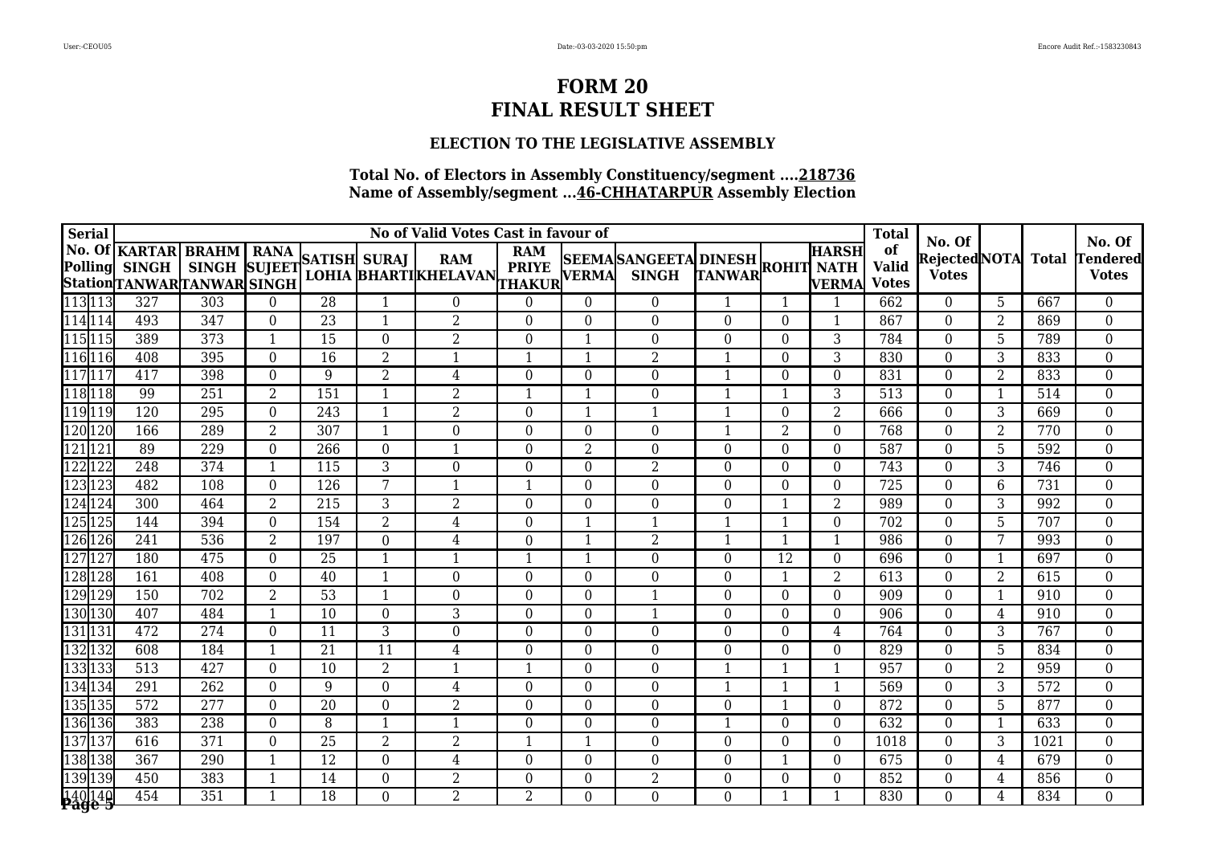### **ELECTION TO THE LEGISLATIVE ASSEMBLY**

| <b>Serial</b>             |                                                                          |                           |                  |                  | <b>Total</b>     |                                           |                                             |                  | No. Of                                     |                  |             |                              |                                    |                                               |                |              |                                 |
|---------------------------|--------------------------------------------------------------------------|---------------------------|------------------|------------------|------------------|-------------------------------------------|---------------------------------------------|------------------|--------------------------------------------|------------------|-------------|------------------------------|------------------------------------|-----------------------------------------------|----------------|--------------|---------------------------------|
|                           | No. Of KARTAR BRAHM   RANA<br>Polling SINGH<br>StationTANWARTANWAR SINGH | SINGH SUJEET SATISH SURAJ |                  |                  |                  | <b>RAM</b><br><b>LOHIA BHARTIKHELAVAN</b> | <b>RAM</b><br><b>PRIYE</b><br><b>THAKUR</b> |                  | SEEMASANGEETA DINESH<br>VERMA SINGH TANWAR |                  |             | <b>HARSH</b><br><b>VERMA</b> | of<br><b>Valid</b><br><b>Votes</b> | No. Of<br><b>RejectedNOTA</b><br><b>Votes</b> |                | <b>Total</b> | <b>Fendered</b><br><b>Votes</b> |
| 113113                    | 327                                                                      | 303                       | $\Omega$         | $\overline{28}$  | -1               | $\overline{0}$                            | $\boldsymbol{0}$                            | $\overline{0}$   | $\Omega$                                   |                  |             |                              | 662                                | $\theta$                                      | 5              | 667          | $\boldsymbol{0}$                |
| 114 114                   | 493                                                                      | $\overline{347}$          | $\boldsymbol{0}$ | $\overline{23}$  | $\mathbf{1}$     | $\overline{2}$                            | $\mathbf{0}$                                | $\overline{0}$   | $\overline{0}$                             | $\overline{0}$   | $\Omega$    | $\mathbf 1$                  | 867                                | $\overline{0}$                                | $\overline{2}$ | 869          | $\boldsymbol{0}$                |
| 115 115                   | 389                                                                      | 373                       | $\mathbf{1}$     | $\overline{15}$  | $\overline{0}$   | $\overline{2}$                            | $\boldsymbol{0}$                            | $\mathbf{1}$     | $\Omega$                                   | $\overline{0}$   | $\Omega$    | 3                            | 784                                | $\overline{0}$                                | $\overline{5}$ | 789          | $\boldsymbol{0}$                |
| 116 116                   | 408                                                                      | 395                       | $\boldsymbol{0}$ | $\overline{16}$  | $\overline{2}$   | $\mathbf{1}$                              | $\mathbf{1}$                                | $\mathbf{1}$     | $\overline{2}$                             |                  | $\Omega$    | 3                            | 830                                | $\overline{0}$                                | 3              | 833          | $\boldsymbol{0}$                |
| 117117                    | 417                                                                      | 398                       | $\boldsymbol{0}$ | 9                | $\overline{2}$   | 4                                         | $\boldsymbol{0}$                            | $\boldsymbol{0}$ | $\Omega$                                   | $\mathbf{1}$     | $\Omega$    | $\theta$                     | 831                                | $\theta$                                      | 2              | 833          | $\overline{0}$                  |
| 118 118                   | 99                                                                       | 251                       | $\overline{2}$   | 151              | $\mathbf{1}$     | $\overline{2}$                            | 1                                           | $\mathbf{1}$     | $\overline{0}$                             |                  | -1          | 3                            | 513                                | $\overline{0}$                                | $\overline{1}$ | 514          | $\boldsymbol{0}$                |
| 119 19                    | 120                                                                      | 295                       | $\boldsymbol{0}$ | $\overline{243}$ | $\mathbf{1}$     | $\overline{2}$                            | $\boldsymbol{0}$                            | $\mathbf 1$      | 1                                          |                  | $\Omega$    | $\overline{2}$               | 666                                | $\overline{0}$                                | 3              | 669          | $\boldsymbol{0}$                |
| 120120                    | 166                                                                      | 289                       | $\overline{2}$   | 307              | $\mathbf{1}$     | $\overline{0}$                            | $\overline{0}$                              | $\boldsymbol{0}$ | $\Omega$                                   | $\mathbf 1$      | 2           | $\Omega$                     | 768                                | $\theta$                                      | $\overline{2}$ | 770          | $\overline{0}$                  |
| 121 121                   | $\overline{89}$                                                          | 229                       | $\boldsymbol{0}$ | 266              | $\overline{0}$   | $\mathbf{1}$                              | $\mathbf{0}$                                | $\overline{2}$   | $\Omega$                                   | $\Omega$         | $\Omega$    | $\Omega$                     | 587                                | $\Omega$                                      | 5              | 592          | $\boldsymbol{0}$                |
| 122 122                   | 248                                                                      | 374                       | $\mathbf{1}$     | 115              | 3                | $\overline{0}$                            | $\boldsymbol{0}$                            | $\overline{0}$   | $\overline{2}$                             | $\boldsymbol{0}$ | $\theta$    | $\overline{0}$               | 743                                | $\overline{0}$                                | 3              | 746          | $\boldsymbol{0}$                |
| 123123                    | 482                                                                      | 108                       | $\theta$         | 126              | 7                | $\mathbf{1}$                              | $\mathbf{1}$                                | $\boldsymbol{0}$ | $\Omega$                                   | $\Omega$         | $\Omega$    | $\Omega$                     | 725                                | $\theta$                                      | 6              | 731          | $\boldsymbol{0}$                |
| 124 124                   | $\overline{300}$                                                         | 464                       | $\overline{2}$   | 215              | $\overline{3}$   | $\overline{2}$                            | $\mathbf{0}$                                | $\overline{0}$   | $\overline{0}$                             | $\Omega$         |             | 2                            | 989                                | $\overline{0}$                                | 3              | 992          | $\boldsymbol{0}$                |
| 125 125                   | 144                                                                      | 394                       | $\boldsymbol{0}$ | 154              | $\overline{2}$   | $\overline{4}$                            | $\boldsymbol{0}$                            | $\mathbf{1}$     | 1                                          | $\mathbf 1$      | $\mathbf 1$ | $\theta$                     | 702                                | $\overline{0}$                                | $\overline{5}$ | 707          | $\boldsymbol{0}$                |
| 126 126                   | 241                                                                      | 536                       | $\overline{2}$   | 197              | $\boldsymbol{0}$ | $\overline{4}$                            | $\boldsymbol{0}$                            | $\mathbf{1}$     | 2                                          |                  | $\mathbf 1$ |                              | 986                                | $\overline{0}$                                | 7              | 993          | $\boldsymbol{0}$                |
| 127 127                   | 180                                                                      | 475                       | $\boldsymbol{0}$ | 25               | $\mathbf{1}$     | 1                                         | $\mathbf{1}$                                | $\mathbf{1}$     | $\Omega$                                   | $\theta$         | 12          | $\theta$                     | 696                                | $\theta$                                      | 1              | 697          | $\boldsymbol{0}$                |
| 128 128                   | 161                                                                      | 408                       | $\boldsymbol{0}$ | $\overline{40}$  | $\mathbf{1}$     | $\overline{0}$                            | $\boldsymbol{0}$                            | $\boldsymbol{0}$ | $\overline{0}$                             | $\overline{0}$   | -1          | $\overline{2}$               | 613                                | $\overline{0}$                                | $\overline{2}$ | 615          | $\boldsymbol{0}$                |
| 129 129                   | 150                                                                      | 702                       | $\overline{2}$   | $\overline{53}$  | $\mathbf{1}$     | $\overline{0}$                            | $\boldsymbol{0}$                            | $\boldsymbol{0}$ | $\mathbf{1}$                               | $\theta$         | $\Omega$    | $\theta$                     | 909                                | $\theta$                                      | 1              | 910          | $\boldsymbol{0}$                |
| 130130                    | 407                                                                      | 484                       | $\mathbf{1}$     | 10               | $\Omega$         | 3                                         | $\boldsymbol{0}$                            | $\Omega$         | $\mathbf 1$                                | $\Omega$         | $\Omega$    | $\Omega$                     | 906                                | $\Omega$                                      | $\overline{4}$ | 910          | $\boldsymbol{0}$                |
| 131 131                   | 472                                                                      | $\overline{274}$          | $\boldsymbol{0}$ | 11               | $\overline{3}$   | $\boldsymbol{0}$                          | $\boldsymbol{0}$                            | $\boldsymbol{0}$ | $\Omega$                                   | $\overline{0}$   | $\Omega$    | 4                            | 764                                | $\overline{0}$                                | 3              | 767          | $\boldsymbol{0}$                |
| 132 132                   | 608                                                                      | 184                       | 1                | 21               | 11               | $\overline{4}$                            | $\boldsymbol{0}$                            | $\overline{0}$   | $\Omega$                                   | $\theta$         | $\theta$    | $\overline{0}$               | 829                                | $\theta$                                      | 5              | 834          | $\boldsymbol{0}$                |
| 133133                    | 513                                                                      | 427                       | $\theta$         | 10               | $\overline{2}$   | 1                                         | $\mathbf{1}$                                | $\boldsymbol{0}$ | $\Omega$                                   |                  |             | $\mathbf 1$                  | 957                                | $\theta$                                      | 2              | 959          | $\boldsymbol{0}$                |
| 134 134                   | 291                                                                      | 262                       | $\boldsymbol{0}$ | 9                | $\boldsymbol{0}$ | $\bf 4$                                   | $\boldsymbol{0}$                            | $\boldsymbol{0}$ | $\overline{0}$                             |                  | -1          | $\mathbf{1}$                 | 569                                | $\overline{0}$                                | 3              | 572          | $\boldsymbol{0}$                |
| 135 135                   | 572                                                                      | 277                       | $\boldsymbol{0}$ | 20               | $\boldsymbol{0}$ | $\overline{2}$                            | $\boldsymbol{0}$                            | $\boldsymbol{0}$ | $\Omega$                                   | $\overline{0}$   | $\mathbf 1$ | $\theta$                     | 872                                | $\theta$                                      | 5              | 877          | $\boldsymbol{0}$                |
| 136 136                   | 383                                                                      | 238                       | $\theta$         | 8                | $\mathbf{1}$     | 1                                         | $\boldsymbol{0}$                            | $\boldsymbol{0}$ | $\Omega$                                   |                  | $\Omega$    | $\Omega$                     | 632                                | $\theta$                                      | -1             | 633          | $\boldsymbol{0}$                |
| 137 137                   | 616                                                                      | 371                       | $\boldsymbol{0}$ | 25               | $\overline{2}$   | $\overline{2}$                            | $\mathbf{1}$                                | $\mathbf{1}$     | $\Omega$                                   | $\theta$         | $\theta$    | $\overline{0}$               | 1018                               | $\theta$                                      | 3              | 1021         | $\boldsymbol{0}$                |
| 138 138                   | 367                                                                      | 290                       | $\mathbf{1}$     | 12               | $\boldsymbol{0}$ | 4                                         | $\boldsymbol{0}$                            | $\boldsymbol{0}$ | $\Omega$                                   | $\theta$         | -1          | $\theta$                     | 675                                | $\theta$                                      | 4              | 679          | $\boldsymbol{0}$                |
| 139 139                   | 450                                                                      | 383                       | $\mathbf{1}$     | 14               | $\overline{0}$   | $\overline{2}$                            | $\boldsymbol{0}$                            | $\boldsymbol{0}$ | $\overline{2}$                             | $\overline{0}$   | $\Omega$    | $\Omega$                     | 852                                | $\overline{0}$                                | 4              | 856          | $\boldsymbol{0}$                |
| 140 140 <br><b>Page 5</b> | 454                                                                      | 351                       | $\mathbf{1}$     | 18               | $\overline{0}$   | $\overline{2}$                            | $\overline{2}$                              | $\overline{0}$   | $\overline{0}$                             | $\overline{0}$   |             | $\mathbf 1$                  | 830                                | $\Omega$                                      | 4              | 834          | $\overline{0}$                  |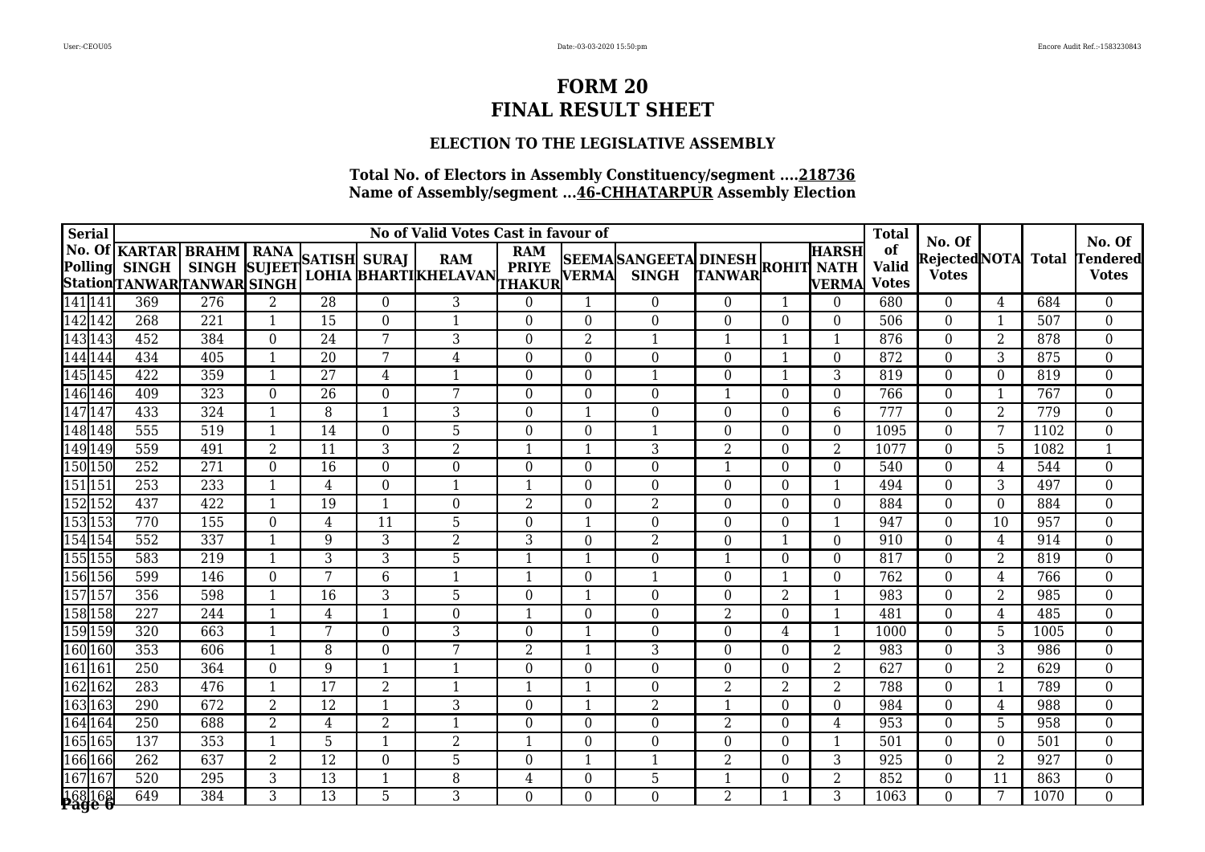### **ELECTION TO THE LEGISLATIVE ASSEMBLY**

| <b>Serial</b>            |                                                                   |                                           |                  |                 | <b>Total</b>     |                                           |                                            |                  |                                 |                  |                |                              |                                    |                                               |                |              |                                           |
|--------------------------|-------------------------------------------------------------------|-------------------------------------------|------------------|-----------------|------------------|-------------------------------------------|--------------------------------------------|------------------|---------------------------------|------------------|----------------|------------------------------|------------------------------------|-----------------------------------------------|----------------|--------------|-------------------------------------------|
| <b>Polling</b>           | <b>No. Of KARTAR</b><br><b>SINGH</b><br>StationTANWARTANWAR SINGH | <b>BRAHM</b><br>SINGH SUJEET SATISH SURAJ | <b>RANA</b>      |                 |                  | <b>RAM</b><br><b>LOHIA BHARTIKHELAVAN</b> | <b>RAM</b><br><b>PRIYE</b><br>THAKUR VERMA |                  | SEEMASANGEETA DINESH ROHIT NATH |                  |                | <b>HARSH</b><br><b>VERMA</b> | of<br><b>Valid</b><br><b>Votes</b> | No. Of<br><b>RejectedNOTA</b><br><b>Votes</b> |                | <b>Total</b> | No. Of<br><b>Fendered</b><br><b>Votes</b> |
| 141 141                  | 369                                                               | $\overline{276}$                          | 2                | $\overline{28}$ | $\overline{0}$   | 3                                         | $\overline{0}$                             | 1                | $\theta$                        | $\overline{0}$   | -1             | $\theta$                     | 680                                | $\theta$                                      | 4              | 684          | $\boldsymbol{0}$                          |
| 142 142                  | 268                                                               | 221                                       | $\mathbf{1}$     | 15              | $\overline{0}$   | $\mathbf{1}$                              | $\mathbf{0}$                               | $\boldsymbol{0}$ | $\Omega$                        | $\overline{0}$   | $\Omega$       | $\theta$                     | 506                                | $\theta$                                      | 1              | 507          | $\boldsymbol{0}$                          |
| 143 143                  | 452                                                               | 384                                       | $\boldsymbol{0}$ | 24              | 7                | $\overline{3}$                            | $\boldsymbol{0}$                           | $\overline{2}$   | $\mathbf{1}$                    | $\mathbf{1}$     | $\mathbf 1$    | 1                            | 876                                | $\overline{0}$                                | 2              | 878          | $\boldsymbol{0}$                          |
| 144 144                  | 434                                                               | 405                                       | $\mathbf{1}$     | 20              | 7                | $\overline{4}$                            | $\boldsymbol{0}$                           | $\boldsymbol{0}$ | $\Omega$                        | $\Omega$         | $\mathbf{1}$   | $\Omega$                     | 872                                | $\theta$                                      | 3              | 875          | $\boldsymbol{0}$                          |
| 145 145                  | 422                                                               | 359                                       | $\mathbf{1}$     | 27              | 4                | $\mathbf{1}$                              | $\mathbf{0}$                               | $\boldsymbol{0}$ | 1                               | $\theta$         | -1             | 3                            | 819                                | $\overline{0}$                                | $\Omega$       | 819          | $\boldsymbol{0}$                          |
| 146 146                  | 409                                                               | 323                                       | $\boldsymbol{0}$ | 26              | $\boldsymbol{0}$ | 7                                         | $\boldsymbol{0}$                           | $\boldsymbol{0}$ | $\overline{0}$                  |                  | $\Omega$       | $\theta$                     | 766                                | $\overline{0}$                                | -1             | 767          | $\boldsymbol{0}$                          |
| 147147                   | 433                                                               | 324                                       | 1                | 8               | $\mathbf{1}$     | 3                                         | $\boldsymbol{0}$                           | $\mathbf{1}$     | $\overline{0}$                  | $\Omega$         | $\Omega$       | 6                            | 777                                | $\theta$                                      | $\overline{2}$ | 779          | $\boldsymbol{0}$                          |
| 148148                   | 555                                                               | 519                                       | 1                | 14              | $\boldsymbol{0}$ | $\overline{5}$                            | $\boldsymbol{0}$                           | $\boldsymbol{0}$ | 1                               | $\theta$         | $\Omega$       | $\theta$                     | 1095                               | $\theta$                                      | 7              | 1102         | $\boldsymbol{0}$                          |
| 149 149                  | 559                                                               | 491                                       | $\overline{2}$   | 11              | $\overline{3}$   | $\overline{2}$                            | $\mathbf{1}$                               | $\mathbf{1}$     | 3                               | $\overline{2}$   | $\theta$       | $\overline{2}$               | 1077                               | $\overline{0}$                                | 5              | 1082         | $\mathbf{1}$                              |
| 150 150                  | 252                                                               | 271                                       | $\boldsymbol{0}$ | 16              | $\boldsymbol{0}$ | $\overline{0}$                            | $\boldsymbol{0}$                           | $\boldsymbol{0}$ | $\Omega$                        | -1               | $\Omega$       | $\theta$                     | 540                                | $\overline{0}$                                | 4              | 544          | $\boldsymbol{0}$                          |
| 151 151                  | $\overline{253}$                                                  | 233                                       | $\mathbf{1}$     | $\overline{4}$  | $\overline{0}$   | 1                                         | 1                                          | $\overline{0}$   | $\Omega$                        | $\overline{0}$   | $\Omega$       | 1                            | 494                                | $\theta$                                      | 3              | 497          | $\boldsymbol{0}$                          |
| 152 152                  | 437                                                               | 422                                       | $\overline{1}$   | 19              | $\overline{1}$   | $\overline{0}$                            | $\overline{2}$                             | $\boldsymbol{0}$ | $\overline{2}$                  | $\overline{0}$   | $\Omega$       | $\theta$                     | 884                                | $\overline{0}$                                | $\Omega$       | 884          | $\overline{0}$                            |
| 153 153                  | 770                                                               | 155                                       | $\boldsymbol{0}$ | $\overline{4}$  | 11               | 5                                         | $\boldsymbol{0}$                           | $\mathbf 1$      | $\Omega$                        | $\theta$         | $\theta$       | $\mathbf{1}$                 | 947                                | $\theta$                                      | 10             | 957          | $\boldsymbol{0}$                          |
| 154 154                  | 552                                                               | 337                                       | 1                | 9               | 3                | $\overline{2}$                            | 3                                          | $\boldsymbol{0}$ | $\overline{2}$                  | $\theta$         |                | $\theta$                     | 910                                | $\theta$                                      | 4              | 914          | $\boldsymbol{0}$                          |
| 155 155                  | 583                                                               | 219                                       | $\mathbf{1}$     | 3               | 3                | 5                                         | $\mathbf{1}$                               | $\mathbf{1}$     | $\overline{0}$                  | $\mathbf{1}$     | $\theta$       | $\theta$                     | 817                                | $\overline{0}$                                | $\overline{2}$ | 819          | $\boldsymbol{0}$                          |
| 156 156                  | 599                                                               | 146                                       | $\overline{0}$   | 7               | 6                | $\mathbf{1}$                              | 1                                          | $\overline{0}$   | -1                              | $\Omega$         | -1             | $\Omega$                     | $\overline{762}$                   | $\overline{0}$                                | 4              | 766          | $\boldsymbol{0}$                          |
| 157 157                  | 356                                                               | 598                                       | $\overline{1}$   | 16              | 3                | 5                                         | $\boldsymbol{0}$                           | $\mathbf{1}$     | $\Omega$                        | $\overline{0}$   | $\overline{2}$ | $\mathbf{1}$                 | 983                                | $\overline{0}$                                | $\overline{2}$ | 985          | $\boldsymbol{0}$                          |
| 158 158                  | 227                                                               | 244                                       |                  | $\overline{4}$  | $\mathbf{1}$     | $\boldsymbol{0}$                          | $\mathbf{1}$                               | $\boldsymbol{0}$ | $\Omega$                        | 2                | $\Omega$       | $\mathbf{1}$                 | 481                                | $\theta$                                      | 4              | 485          | $\boldsymbol{0}$                          |
| 159 159                  | 320                                                               | 663                                       |                  | 7               | $\boldsymbol{0}$ | 3                                         | $\boldsymbol{0}$                           | $\mathbf{1}$     | $\Omega$                        | $\theta$         | 4              |                              | 1000                               | $\Omega$                                      | 5              | 1005         | $\boldsymbol{0}$                          |
| 160 160                  | 353                                                               | 606                                       | $\mathbf{1}$     | 8               | $\boldsymbol{0}$ | 7                                         | $\overline{2}$                             | $\mathbf{1}$     | 3                               | $\boldsymbol{0}$ | $\overline{0}$ | $\overline{2}$               | 983                                | $\overline{0}$                                | 3              | 986          | $\boldsymbol{0}$                          |
| 161 161                  | 250                                                               | 364                                       | $\boldsymbol{0}$ | 9               | $\mathbf{1}$     | 1                                         | $\boldsymbol{0}$                           | $\boldsymbol{0}$ | $\Omega$                        | $\theta$         | $\Omega$       | $\overline{2}$               | 627                                | $\theta$                                      | 2              | 629          | $\boldsymbol{0}$                          |
| 162 162                  | 283                                                               | 476                                       | $\mathbf{1}$     | $\overline{17}$ | $\overline{2}$   | $\mathbf{1}$                              | $\mathbf{1}$                               | $\mathbf{1}$     | $\Omega$                        | $\overline{2}$   | $\overline{2}$ | $\overline{2}$               | 788                                | $\overline{0}$                                | $\overline{1}$ | 789          | $\boldsymbol{0}$                          |
| 163 163                  | 290                                                               | 672                                       | $\overline{2}$   | $\overline{12}$ | $\mathbf{1}$     | $\overline{3}$                            | $\boldsymbol{0}$                           | $\mathbf{1}$     | $\overline{2}$                  | -1               | $\Omega$       | $\theta$                     | 984                                | $\overline{0}$                                | 4              | 988          | $\boldsymbol{0}$                          |
| 164164                   | 250                                                               | 688                                       | $\overline{2}$   | 4               | 2                | 1                                         | $\boldsymbol{0}$                           | $\boldsymbol{0}$ | $\Omega$                        | 2                | $\Omega$       | 4                            | 953                                | $\theta$                                      | 5              | 958          | $\boldsymbol{0}$                          |
| 165165                   | 137                                                               | 353                                       | 1                | 5               | $\mathbf{1}$     | $\overline{2}$                            | $\mathbf{1}$                               | $\boldsymbol{0}$ | $\overline{0}$                  | $\overline{0}$   | $\theta$       | 1                            | 501                                | $\theta$                                      | $\theta$       | 501          | $\boldsymbol{0}$                          |
| 166 166                  | 262                                                               | 637                                       | $\overline{2}$   | 12              | $\boldsymbol{0}$ | 5                                         | $\boldsymbol{0}$                           | $\mathbf{1}$     | $\mathbf{1}$                    | $\overline{2}$   | $\Omega$       | 3                            | 925                                | $\overline{0}$                                | 2              | 927          | $\boldsymbol{0}$                          |
| 167167                   | 520                                                               | 295                                       | $\mathbf{3}$     | 13              | $\mathbf{1}$     | $\, 8$                                    | $\overline{4}$                             | $\boldsymbol{0}$ | 5                               |                  | $\Omega$       | $\overline{2}$               | 852                                | $\theta$                                      | 11             | 863          | $\boldsymbol{0}$                          |
| 168 168<br><b>Page 6</b> | 649                                                               | 384                                       | $\overline{3}$   | $\overline{13}$ | 5                | $\overline{3}$                            | $\overline{0}$                             | $\overline{0}$   | $\overline{0}$                  | $\overline{2}$   |                | 3                            | 1063                               | $\Omega$                                      | 7              | 1070         | $\overline{0}$                            |